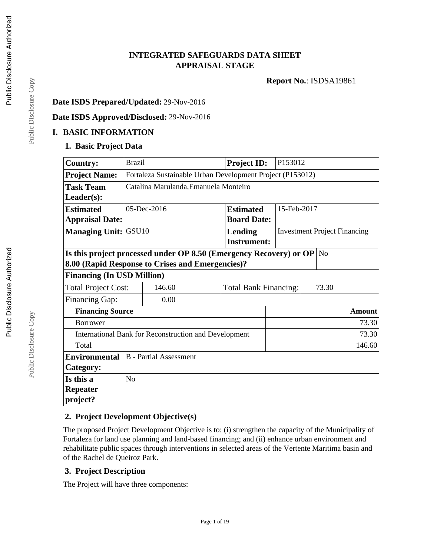# **INTEGRATED SAFEGUARDS DATA SHEET APPRAISAL STAGE**

**Report No.**: ISDSA19861

### **Date ISDS Prepared/Updated:** 29-Nov-2016

#### **Date ISDS Approved/Disclosed:** 29-Nov-2016

#### **I. BASIC INFORMATION**

### **1. Basic Project Data**

| <b>Country:</b>                                       | <b>Brazil</b>                                   |                                                                    |        | <b>Project ID:</b> | P153012     |  |                                     |
|-------------------------------------------------------|-------------------------------------------------|--------------------------------------------------------------------|--------|--------------------|-------------|--|-------------------------------------|
| <b>Project Name:</b>                                  |                                                 | Fortaleza Sustainable Urban Development Project (P153012)          |        |                    |             |  |                                     |
| <b>Task Team</b>                                      |                                                 | Catalina Marulanda, Emanuela Monteiro                              |        |                    |             |  |                                     |
| Leader(s):                                            |                                                 |                                                                    |        |                    |             |  |                                     |
| <b>Estimated</b>                                      |                                                 | $05$ -Dec-2016                                                     |        | <b>Estimated</b>   | 15-Feb-2017 |  |                                     |
| <b>Appraisal Date:</b>                                |                                                 |                                                                    |        | <b>Board Date:</b> |             |  |                                     |
| <b>Managing Unit: GSU10</b>                           |                                                 |                                                                    |        | Lending            |             |  | <b>Investment Project Financing</b> |
|                                                       |                                                 |                                                                    |        | <b>Instrument:</b> |             |  |                                     |
|                                                       |                                                 | Is this project processed under OP 8.50 (Emergency Recovery) or OP |        |                    |             |  | N <sub>o</sub>                      |
|                                                       |                                                 | 8.00 (Rapid Response to Crises and Emergencies)?                   |        |                    |             |  |                                     |
| <b>Financing (In USD Million)</b>                     |                                                 |                                                                    |        |                    |             |  |                                     |
| <b>Total Project Cost:</b>                            | 146.60<br><b>Total Bank Financing:</b><br>73.30 |                                                                    |        |                    |             |  |                                     |
| <b>Financing Gap:</b>                                 | 0.00                                            |                                                                    |        |                    |             |  |                                     |
| <b>Financing Source</b>                               |                                                 |                                                                    | Amount |                    |             |  |                                     |
| <b>Borrower</b>                                       |                                                 |                                                                    |        |                    | 73.30       |  |                                     |
|                                                       |                                                 | International Bank for Reconstruction and Development              |        |                    |             |  | 73.30                               |
| 146.60<br>Total                                       |                                                 |                                                                    |        |                    |             |  |                                     |
| <b>B</b> - Partial Assessment<br><b>Environmental</b> |                                                 |                                                                    |        |                    |             |  |                                     |
| Category:                                             |                                                 |                                                                    |        |                    |             |  |                                     |
| Is this a                                             | N <sub>o</sub>                                  |                                                                    |        |                    |             |  |                                     |
| Repeater                                              |                                                 |                                                                    |        |                    |             |  |                                     |
| project?                                              |                                                 |                                                                    |        |                    |             |  |                                     |

# **2. Project Development Objective(s)**

The proposed Project Development Objective is to: (i) strengthen the capacity of the Municipality of Fortaleza for land use planning and land-based financing; and (ii) enhance urban environment and rehabilitate public spaces through interventions in selected areas of the Vertente Maritima basin and of the Rachel de Queiroz Park.

#### **3. Project Description**

The Project will have three components:

Public Disclosure Copy

Public Disclosure Copy

Public Disclosure Copy Public Disclosure Copy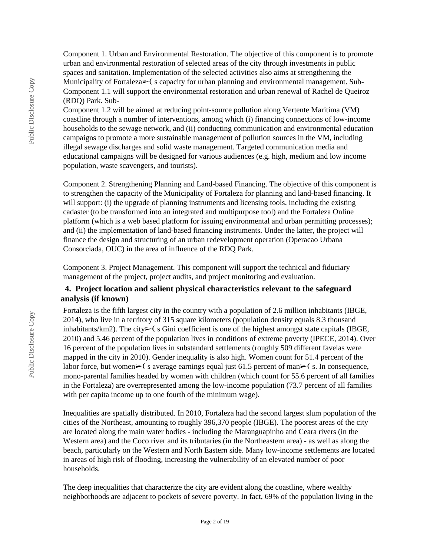Component 1. Urban and Environmental Restoration. The objective of this component is to promote urban and environmental restoration of selected areas of the city through investments in public spaces and sanitation. Implementation of the selected activities also aims at strengthening the Municipality of Fortaleza $\blacktriangleright$  (s capacity for urban planning and environmental management. Sub-Component 1.1 will support the environmental restoration and urban renewal of Rachel de Queiroz (RDQ) Park. Sub-

Component 1.2 will be aimed at reducing point-source pollution along Vertente Maritima (VM) coastline through a number of interventions, among which (i) financing connections of low-income households to the sewage network, and (ii) conducting communication and environmental education campaigns to promote a more sustainable management of pollution sources in the VM, including illegal sewage discharges and solid waste management. Targeted communication media and educational campaigns will be designed for various audiences (e.g. high, medium and low income population, waste scavengers, and tourists).

Component 2. Strengthening Planning and Land-based Financing. The objective of this component is to strengthen the capacity of the Municipality of Fortaleza for planning and land-based financing. It will support: (i) the upgrade of planning instruments and licensing tools, including the existing cadaster (to be transformed into an integrated and multipurpose tool) and the Fortaleza Online platform (which is a web based platform for issuing environmental and urban permitting processes); and (ii) the implementation of land-based financing instruments. Under the latter, the project will finance the design and structuring of an urban redevelopment operation (Operacao Urbana Consorciada, OUC) in the area of influence of the RDQ Park.

Component 3. Project Management. This component will support the technical and fiduciary management of the project, project audits, and project monitoring and evaluation.

# **4. Project location and salient physical characteristics relevant to the safeguard analysis (if known)**

Fortaleza is the fifth largest city in the country with a population of 2.6 million inhabitants (IBGE, 2014), who live in a territory of 315 square kilometers (population density equals 8.3 thousand inhabitants/km2). The city $\triangleright$  (s Gini coefficient is one of the highest amongst state capitals (IBGE, 2010) and 5.46 percent of the population lives in conditions of extreme poverty (IPECE, 2014). Over 16 percent of the population lives in substandard settlements (roughly 509 different favelas were mapped in the city in 2010). Gender inequality is also high. Women count for 51.4 percent of the labor force, but women $\geq$ ( s average earnings equal just 61.5 percent of man $\geq$ ( s. In consequence, mono-parental families headed by women with children (which count for 55.6 percent of all families in the Fortaleza) are overrepresented among the low-income population (73.7 percent of all families with per capita income up to one fourth of the minimum wage).

Inequalities are spatially distributed. In 2010, Fortaleza had the second largest slum population of the cities of the Northeast, amounting to roughly 396,370 people (IBGE). The poorest areas of the city are located along the main water bodies - including the Maranguapinho and Ceara rivers (in the Western area) and the Coco river and its tributaries (in the Northeastern area) - as well as along the beach, particularly on the Western and North Eastern side. Many low-income settlements are located in areas of high risk of flooding, increasing the vulnerability of an elevated number of poor households.

The deep inequalities that characterize the city are evident along the coastline, where wealthy neighborhoods are adjacent to pockets of severe poverty. In fact, 69% of the population living in the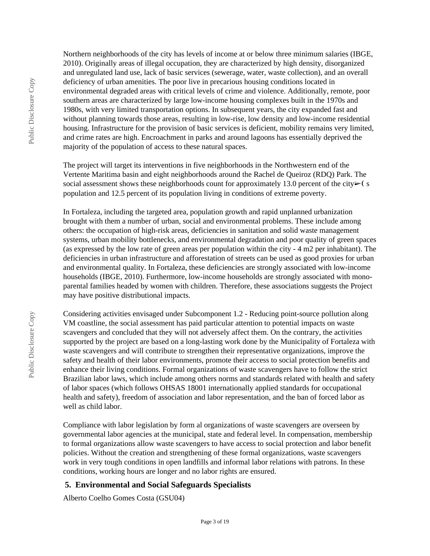Northern neighborhoods of the city has levels of income at or below three minimum salaries (IBGE, 2010). Originally areas of illegal occupation, they are characterized by high density, disorganized and unregulated land use, lack of basic services (sewerage, water, waste collection), and an overall deficiency of urban amenities. The poor live in precarious housing conditions located in environmental degraded areas with critical levels of crime and violence. Additionally, remote, poor southern areas are characterized by large low-income housing complexes built in the 1970s and 1980s, with very limited transportation options. In subsequent years, the city expanded fast and without planning towards those areas, resulting in low-rise, low density and low-income residential housing. Infrastructure for the provision of basic services is deficient, mobility remains very limited, and crime rates are high. Encroachment in parks and around lagoons has essentially deprived the majority of the population of access to these natural spaces.

The project will target its interventions in five neighborhoods in the Northwestern end of the Vertente Maritima basin and eight neighborhoods around the Rachel de Queiroz (RDQ) Park. The social assessment shows these neighborhoods count for approximately 13.0 percent of the city $\triangleright$  (s population and 12.5 percent of its population living in conditions of extreme poverty.

In Fortaleza, including the targeted area, population growth and rapid unplanned urbanization brought with them a number of urban, social and environmental problems. These include among others: the occupation of high-risk areas, deficiencies in sanitation and solid waste management systems, urban mobility bottlenecks, and environmental degradation and poor quality of green spaces (as expressed by the low rate of green areas per population within the city - 4 m2 per inhabitant). The deficiencies in urban infrastructure and afforestation of streets can be used as good proxies for urban and environmental quality. In Fortaleza, these deficiencies are strongly associated with low-income households (IBGE, 2010). Furthermore, low-income households are strongly associated with monoparental families headed by women with children. Therefore, these associations suggests the Project may have positive distributional impacts.

Considering activities envisaged under Subcomponent 1.2 - Reducing point-source pollution along VM coastline, the social assessment has paid particular attention to potential impacts on waste scavengers and concluded that they will not adversely affect them. On the contrary, the activities supported by the project are based on a long-lasting work done by the Municipality of Fortaleza with waste scavengers and will contribute to strengthen their representative organizations, improve the safety and health of their labor environments, promote their access to social protection benefits and enhance their living conditions. Formal organizations of waste scavengers have to follow the strict Brazilian labor laws, which include among others norms and standards related with health and safety of labor spaces (which follows OHSAS 18001 internationally applied standards for occupational health and safety), freedom of association and labor representation, and the ban of forced labor as well as child labor.

Compliance with labor legislation by form al organizations of waste scavengers are overseen by governmental labor agencies at the municipal, state and federal level. In compensation, membership to formal organizations allow waste scavengers to have access to social protection and labor benefit policies. Without the creation and strengthening of these formal organizations, waste scavengers work in very tough conditions in open landfills and informal labor relations with patrons. In these conditions, working hours are longer and no labor rights are ensured.

#### **5. Environmental and Social Safeguards Specialists**

Alberto Coelho Gomes Costa (GSU04)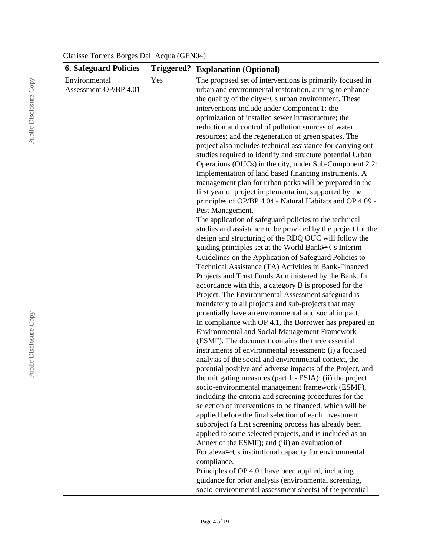| <b>6. Safeguard Policies</b> | <b>Triggered?</b> | <b>Explanation (Optional)</b>                                                                                 |
|------------------------------|-------------------|---------------------------------------------------------------------------------------------------------------|
| Environmental                | Yes               | The proposed set of interventions is primarily focused in                                                     |
| Assessment OP/BP 4.01        |                   | urban and environmental restoration, aiming to enhance                                                        |
|                              |                   | the quality of the city $\triangleright$ (s urban environment. These                                          |
|                              |                   | interventions include under Component 1: the                                                                  |
|                              |                   | optimization of installed sewer infrastructure; the                                                           |
|                              |                   | reduction and control of pollution sources of water                                                           |
|                              |                   | resources; and the regeneration of green spaces. The                                                          |
|                              |                   | project also includes technical assistance for carrying out                                                   |
|                              |                   | studies required to identify and structure potential Urban                                                    |
|                              |                   | Operations (OUCs) in the city, under Sub-Component 2.2:                                                       |
|                              |                   | Implementation of land based financing instruments. A                                                         |
|                              |                   | management plan for urban parks will be prepared in the                                                       |
|                              |                   | first year of project implementation, supported by the                                                        |
|                              |                   | principles of OP/BP 4.04 - Natural Habitats and OP 4.09 -                                                     |
|                              |                   | Pest Management.                                                                                              |
|                              |                   | The application of safeguard policies to the technical                                                        |
|                              |                   | studies and assistance to be provided by the project for the                                                  |
|                              |                   | design and structuring of the RDQ OUC will follow the                                                         |
|                              |                   | guiding principles set at the World Bank $\blacktriangleright$ (s Interim                                     |
|                              |                   | Guidelines on the Application of Safeguard Policies to                                                        |
|                              |                   | Technical Assistance (TA) Activities in Bank-Financed                                                         |
|                              |                   | Projects and Trust Funds Administered by the Bank. In                                                         |
|                              |                   | accordance with this, a category B is proposed for the                                                        |
|                              |                   | Project. The Environmental Assessment safeguard is                                                            |
|                              |                   | mandatory to all projects and sub-projects that may                                                           |
|                              |                   | potentially have an environmental and social impact.                                                          |
|                              |                   | In compliance with OP 4.1, the Borrower has prepared an                                                       |
|                              |                   | <b>Environmental and Social Management Framework</b>                                                          |
|                              |                   | (ESMF). The document contains the three essential                                                             |
|                              |                   | instruments of environmental assessment: (i) a focused                                                        |
|                              |                   | analysis of the social and environmental context, the                                                         |
|                              |                   | potential positive and adverse impacts of the Project, and                                                    |
|                              |                   | the mitigating measures (part 1 - ESIA); (ii) the project<br>socio-environmental management framework (ESMF), |
|                              |                   | including the criteria and screening procedures for the                                                       |
|                              |                   | selection of interventions to be financed, which will be                                                      |
|                              |                   | applied before the final selection of each investment                                                         |
|                              |                   | subproject (a first screening process has already been                                                        |
|                              |                   | applied to some selected projects, and is included as an                                                      |
|                              |                   | Annex of the ESMF); and (iii) an evaluation of                                                                |
|                              |                   | Fortaleza $\triangleright$ (s institutional capacity for environmental                                        |
|                              |                   | compliance.                                                                                                   |
|                              |                   | Principles of OP 4.01 have been applied, including                                                            |
|                              |                   | guidance for prior analysis (environmental screening,                                                         |
|                              |                   | socio-environmental assessment sheets) of the potential                                                       |
|                              |                   |                                                                                                               |

# Clarisse Torrens Borges Dall Acqua (GEN04)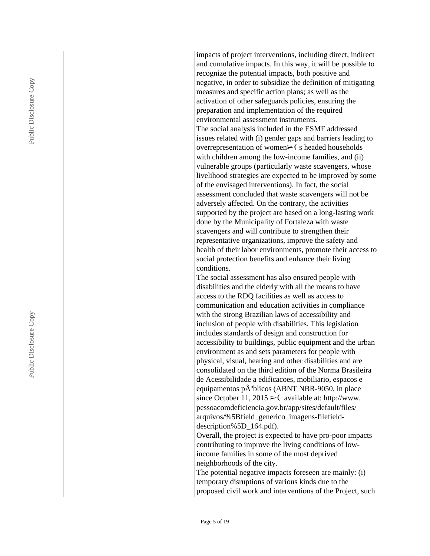| impacts of project interventions, including direct, indirect                                                      |
|-------------------------------------------------------------------------------------------------------------------|
| and cumulative impacts. In this way, it will be possible to                                                       |
| recognize the potential impacts, both positive and                                                                |
| negative, in order to subsidize the definition of mitigating                                                      |
| measures and specific action plans; as well as the                                                                |
| activation of other safeguards policies, ensuring the                                                             |
| preparation and implementation of the required<br>environmental assessment instruments.                           |
| The social analysis included in the ESMF addressed                                                                |
| issues related with (i) gender gaps and barriers leading to                                                       |
| overrepresentation of women $\triangleright$ (s headed households                                                 |
| with children among the low-income families, and (ii)                                                             |
| vulnerable groups (particularly waste scavengers, whose                                                           |
|                                                                                                                   |
| livelihood strategies are expected to be improved by some<br>of the envisaged interventions). In fact, the social |
| assessment concluded that waste scavengers will not be                                                            |
| adversely affected. On the contrary, the activities                                                               |
| supported by the project are based on a long-lasting work                                                         |
| done by the Municipality of Fortaleza with waste                                                                  |
| scavengers and will contribute to strengthen their                                                                |
| representative organizations, improve the safety and                                                              |
| health of their labor environments, promote their access to                                                       |
| social protection benefits and enhance their living                                                               |
| conditions.                                                                                                       |
| The social assessment has also ensured people with                                                                |
| disabilities and the elderly with all the means to have                                                           |
| access to the RDQ facilities as well as access to                                                                 |
| communication and education activities in compliance                                                              |
| with the strong Brazilian laws of accessibility and                                                               |
| inclusion of people with disabilities. This legislation                                                           |
| includes standards of design and construction for                                                                 |
| accessibility to buildings, public equipment and the urban                                                        |
| environment as and sets parameters for people with                                                                |
| physical, visual, hearing and other disabilities and are                                                          |
| consolidated on the third edition of the Norma Brasileira                                                         |
| de Acessibilidade a edificacoes, mobiliario, espacos e                                                            |
| equipamentos pºblicos (ABNT NBR-9050, in place                                                                    |
| since October 11, 2015 $\blacktriangleright$ (available at: http://www.                                           |
| pessoacomdeficiencia.gov.br/app/sites/default/files/                                                              |
| arquivos/%5Bfield_generico_imagens-filefield-                                                                     |
| description%5D_164.pdf).                                                                                          |
| Overall, the project is expected to have pro-poor impacts                                                         |
| contributing to improve the living conditions of low-                                                             |
| income families in some of the most deprived                                                                      |
| neighborhoods of the city.                                                                                        |
| The potential negative impacts foreseen are mainly: (i)                                                           |
| temporary disruptions of various kinds due to the                                                                 |
| proposed civil work and interventions of the Project, such                                                        |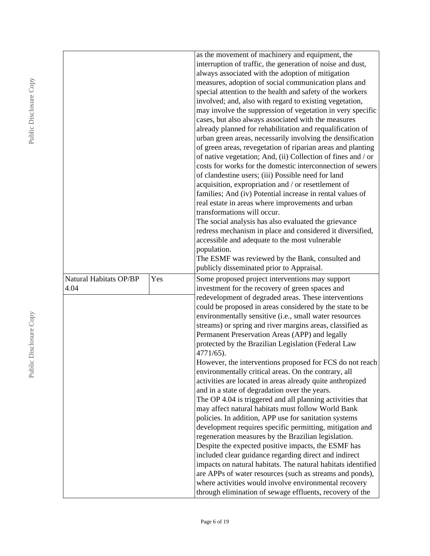|                        |     | as the movement of machinery and equipment, the                                                                   |
|------------------------|-----|-------------------------------------------------------------------------------------------------------------------|
|                        |     | interruption of traffic, the generation of noise and dust,                                                        |
|                        |     | always associated with the adoption of mitigation                                                                 |
|                        |     | measures, adoption of social communication plans and                                                              |
|                        |     | special attention to the health and safety of the workers                                                         |
|                        |     | involved; and, also with regard to existing vegetation,                                                           |
|                        |     | may involve the suppression of vegetation in very specific                                                        |
|                        |     | cases, but also always associated with the measures                                                               |
|                        |     | already planned for rehabilitation and requalification of                                                         |
|                        |     | urban green areas, necessarily involving the densification                                                        |
|                        |     | of green areas, revegetation of riparian areas and planting                                                       |
|                        |     | of native vegetation; And, (ii) Collection of fines and / or                                                      |
|                        |     | costs for works for the domestic interconnection of sewers                                                        |
|                        |     | of clandestine users; (iii) Possible need for land                                                                |
|                        |     | acquisition, expropriation and / or resettlement of                                                               |
|                        |     | families; And (iv) Potential increase in rental values of                                                         |
|                        |     | real estate in areas where improvements and urban                                                                 |
|                        |     | transformations will occur.                                                                                       |
|                        |     | The social analysis has also evaluated the grievance                                                              |
|                        |     | redress mechanism in place and considered it diversified,                                                         |
|                        |     | accessible and adequate to the most vulnerable                                                                    |
|                        |     | population.                                                                                                       |
|                        |     | The ESMF was reviewed by the Bank, consulted and                                                                  |
|                        |     | publicly disseminated prior to Appraisal.                                                                         |
| Natural Habitats OP/BP | Yes | Some proposed project interventions may support                                                                   |
| 4.04                   |     | investment for the recovery of green spaces and                                                                   |
|                        |     | redevelopment of degraded areas. These interventions                                                              |
|                        |     | could be proposed in areas considered by the state to be                                                          |
|                        |     | environmentally sensitive (i.e., small water resources                                                            |
|                        |     | streams) or spring and river margins areas, classified as                                                         |
|                        |     | Permanent Preservation Areas (APP) and legally                                                                    |
|                        |     | protected by the Brazilian Legislation (Federal Law                                                               |
|                        |     | 4771/65).                                                                                                         |
|                        |     | However, the interventions proposed for FCS do not reach                                                          |
|                        |     | environmentally critical areas. On the contrary, all                                                              |
|                        |     |                                                                                                                   |
|                        |     |                                                                                                                   |
|                        |     | activities are located in areas already quite anthropized                                                         |
|                        |     | and in a state of degradation over the years.                                                                     |
|                        |     | The OP 4.04 is triggered and all planning activities that                                                         |
|                        |     | may affect natural habitats must follow World Bank                                                                |
|                        |     | policies. In addition, APP use for sanitation systems                                                             |
|                        |     | development requires specific permitting, mitigation and                                                          |
|                        |     | regeneration measures by the Brazilian legislation.                                                               |
|                        |     | Despite the expected positive impacts, the ESMF has                                                               |
|                        |     | included clear guidance regarding direct and indirect                                                             |
|                        |     | impacts on natural habitats. The natural habitats identified                                                      |
|                        |     | are APPs of water resources (such as streams and ponds),                                                          |
|                        |     | where activities would involve environmental recovery<br>through elimination of sewage effluents, recovery of the |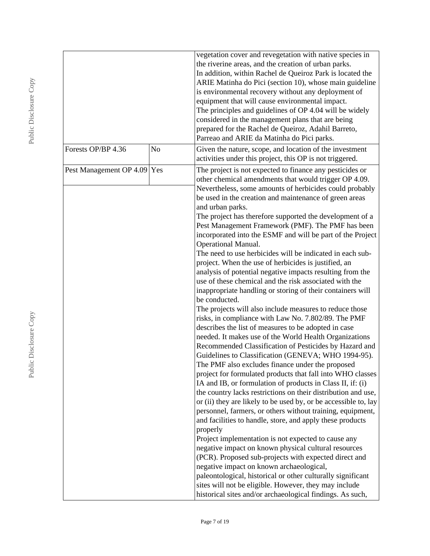|                             |    | vegetation cover and revegetation with native species in        |  |  |
|-----------------------------|----|-----------------------------------------------------------------|--|--|
|                             |    | the riverine areas, and the creation of urban parks.            |  |  |
|                             |    | In addition, within Rachel de Queiroz Park is located the       |  |  |
|                             |    | ARIE Matinha do Pici (section 10), whose main guideline         |  |  |
|                             |    | is environmental recovery without any deployment of             |  |  |
|                             |    | equipment that will cause environmental impact.                 |  |  |
|                             |    |                                                                 |  |  |
|                             |    | The principles and guidelines of OP 4.04 will be widely         |  |  |
|                             |    | considered in the management plans that are being               |  |  |
|                             |    | prepared for the Rachel de Queiroz, Adahil Barreto,             |  |  |
|                             |    | Parreao and ARIE da Matinha do Pici parks.                      |  |  |
| Forests OP/BP 4.36          | No | Given the nature, scope, and location of the investment         |  |  |
|                             |    | activities under this project, this OP is not triggered.        |  |  |
| Pest Management OP 4.09 Yes |    | The project is not expected to finance any pesticides or        |  |  |
|                             |    | other chemical amendments that would trigger OP 4.09.           |  |  |
|                             |    | Nevertheless, some amounts of herbicides could probably         |  |  |
|                             |    | be used in the creation and maintenance of green areas          |  |  |
|                             |    | and urban parks.                                                |  |  |
|                             |    | The project has therefore supported the development of a        |  |  |
|                             |    | Pest Management Framework (PMF). The PMF has been               |  |  |
|                             |    | incorporated into the ESMF and will be part of the Project      |  |  |
|                             |    | Operational Manual.                                             |  |  |
|                             |    | The need to use herbicides will be indicated in each sub-       |  |  |
|                             |    | project. When the use of herbicides is justified, an            |  |  |
|                             |    | analysis of potential negative impacts resulting from the       |  |  |
|                             |    | use of these chemical and the risk associated with the          |  |  |
|                             |    | inappropriate handling or storing of their containers will      |  |  |
|                             |    | be conducted.                                                   |  |  |
|                             |    | The projects will also include measures to reduce those         |  |  |
|                             |    | risks, in compliance with Law No. 7.802/89. The PMF             |  |  |
|                             |    | describes the list of measures to be adopted in case            |  |  |
|                             |    | needed. It makes use of the World Health Organizations          |  |  |
|                             |    | Recommended Classification of Pesticides by Hazard and          |  |  |
|                             |    |                                                                 |  |  |
|                             |    | Guidelines to Classification (GENEVA; WHO 1994-95).             |  |  |
|                             |    | The PMF also excludes finance under the proposed                |  |  |
|                             |    | project for formulated products that fall into WHO classes      |  |  |
|                             |    | IA and IB, or formulation of products in Class II, if: (i)      |  |  |
|                             |    | the country lacks restrictions on their distribution and use,   |  |  |
|                             |    | or (ii) they are likely to be used by, or be accessible to, lay |  |  |
|                             |    | personnel, farmers, or others without training, equipment,      |  |  |
|                             |    | and facilities to handle, store, and apply these products       |  |  |
|                             |    | properly                                                        |  |  |
|                             |    | Project implementation is not expected to cause any             |  |  |
|                             |    | negative impact on known physical cultural resources            |  |  |
|                             |    | (PCR). Proposed sub-projects with expected direct and           |  |  |
|                             |    | negative impact on known archaeological,                        |  |  |
|                             |    | paleontological, historical or other culturally significant     |  |  |
|                             |    | sites will not be eligible. However, they may include           |  |  |
|                             |    | historical sites and/or archaeological findings. As such,       |  |  |
|                             |    |                                                                 |  |  |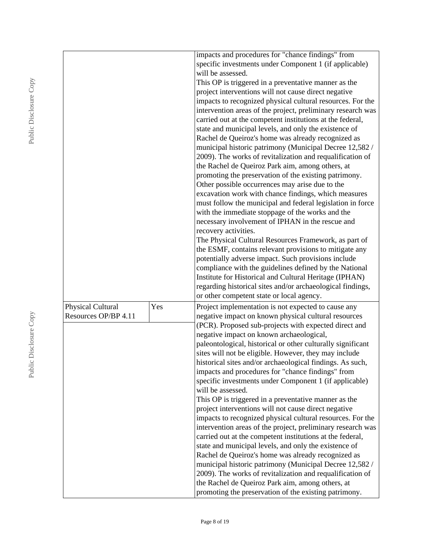|                      |     | impacts and procedures for "chance findings" from                                                         |
|----------------------|-----|-----------------------------------------------------------------------------------------------------------|
|                      |     | specific investments under Component 1 (if applicable)                                                    |
|                      |     | will be assessed.                                                                                         |
|                      |     | This OP is triggered in a preventative manner as the                                                      |
|                      |     | project interventions will not cause direct negative                                                      |
|                      |     | impacts to recognized physical cultural resources. For the                                                |
|                      |     | intervention areas of the project, preliminary research was                                               |
|                      |     | carried out at the competent institutions at the federal,                                                 |
|                      |     | state and municipal levels, and only the existence of                                                     |
|                      |     | Rachel de Queiroz's home was already recognized as                                                        |
|                      |     | municipal historic patrimony (Municipal Decree 12,582 /                                                   |
|                      |     | 2009). The works of revitalization and requalification of                                                 |
|                      |     | the Rachel de Queiroz Park aim, among others, at                                                          |
|                      |     | promoting the preservation of the existing patrimony.                                                     |
|                      |     | Other possible occurrences may arise due to the                                                           |
|                      |     | excavation work with chance findings, which measures                                                      |
|                      |     | must follow the municipal and federal legislation in force                                                |
|                      |     | with the immediate stoppage of the works and the                                                          |
|                      |     | necessary involvement of IPHAN in the rescue and                                                          |
|                      |     | recovery activities.                                                                                      |
|                      |     | The Physical Cultural Resources Framework, as part of                                                     |
|                      |     | the ESMF, contains relevant provisions to mitigate any                                                    |
|                      |     | potentially adverse impact. Such provisions include                                                       |
|                      |     | compliance with the guidelines defined by the National                                                    |
|                      |     | Institute for Historical and Cultural Heritage (IPHAN)                                                    |
|                      |     | regarding historical sites and/or archaeological findings,                                                |
|                      |     | or other competent state or local agency.                                                                 |
| Physical Cultural    | Yes | Project implementation is not expected to cause any                                                       |
| Resources OP/BP 4.11 |     | negative impact on known physical cultural resources                                                      |
|                      |     | (PCR). Proposed sub-projects with expected direct and                                                     |
|                      |     | negative impact on known archaeological,                                                                  |
|                      |     | paleontological, historical or other culturally significant                                               |
|                      |     | sites will not be eligible. However, they may include                                                     |
|                      |     | historical sites and/or archaeological findings. As such,                                                 |
|                      |     | impacts and procedures for "chance findings" from                                                         |
|                      |     | specific investments under Component 1 (if applicable)                                                    |
|                      |     | will be assessed.                                                                                         |
|                      |     | This OP is triggered in a preventative manner as the                                                      |
|                      |     | project interventions will not cause direct negative                                                      |
|                      |     | impacts to recognized physical cultural resources. For the                                                |
|                      |     | intervention areas of the project, preliminary research was                                               |
|                      |     | carried out at the competent institutions at the federal,                                                 |
|                      |     | state and municipal levels, and only the existence of                                                     |
|                      |     |                                                                                                           |
|                      |     | Rachel de Queiroz's home was already recognized as                                                        |
|                      |     |                                                                                                           |
|                      |     | municipal historic patrimony (Municipal Decree 12,582 /                                                   |
|                      |     | 2009). The works of revitalization and requalification of                                                 |
|                      |     | the Rachel de Queiroz Park aim, among others, at<br>promoting the preservation of the existing patrimony. |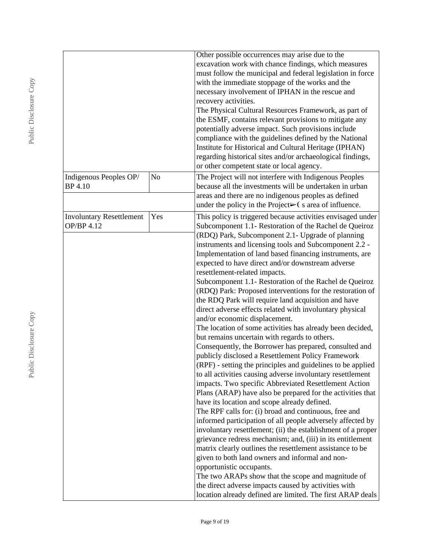|                                 |                | Other possible occurrences may arise due to the<br>excavation work with chance findings, which measures             |
|---------------------------------|----------------|---------------------------------------------------------------------------------------------------------------------|
|                                 |                | must follow the municipal and federal legislation in force<br>with the immediate stoppage of the works and the      |
|                                 |                | necessary involvement of IPHAN in the rescue and                                                                    |
|                                 |                | recovery activities.                                                                                                |
|                                 |                | The Physical Cultural Resources Framework, as part of                                                               |
|                                 |                | the ESMF, contains relevant provisions to mitigate any                                                              |
|                                 |                | potentially adverse impact. Such provisions include                                                                 |
|                                 |                | compliance with the guidelines defined by the National                                                              |
|                                 |                | Institute for Historical and Cultural Heritage (IPHAN)                                                              |
|                                 |                | regarding historical sites and/or archaeological findings,<br>or other competent state or local agency.             |
| Indigenous Peoples OP/          | N <sub>o</sub> | The Project will not interfere with Indigenous Peoples                                                              |
| <b>BP</b> 4.10                  |                | because all the investments will be undertaken in urban                                                             |
|                                 |                | areas and there are no indigenous peoples as defined                                                                |
|                                 |                | under the policy in the Project $\triangleright$ (s area of influence.                                              |
| <b>Involuntary Resettlement</b> | Yes            | This policy is triggered because activities envisaged under                                                         |
| OP/BP 4.12                      |                | Subcomponent 1.1- Restoration of the Rachel de Queiroz                                                              |
|                                 |                | (RDQ) Park, Subcomponent 2.1- Upgrade of planning                                                                   |
|                                 |                | instruments and licensing tools and Subcomponent 2.2 -                                                              |
|                                 |                | Implementation of land based financing instruments, are                                                             |
|                                 |                | expected to have direct and/or downstream adverse                                                                   |
|                                 |                | resettlement-related impacts.                                                                                       |
|                                 |                | Subcomponent 1.1- Restoration of the Rachel de Queiroz                                                              |
|                                 |                | (RDQ) Park: Proposed interventions for the restoration of                                                           |
|                                 |                | the RDQ Park will require land acquisition and have<br>direct adverse effects related with involuntary physical     |
|                                 |                | and/or economic displacement.                                                                                       |
|                                 |                | The location of some activities has already been decided,                                                           |
|                                 |                | but remains uncertain with regards to others.                                                                       |
|                                 |                | Consequently, the Borrower has prepared, consulted and                                                              |
|                                 |                | publicly disclosed a Resettlement Policy Framework                                                                  |
|                                 |                | (RPF) - setting the principles and guidelines to be applied                                                         |
|                                 |                | to all activities causing adverse involuntary resettlement                                                          |
|                                 |                | impacts. Two specific Abbreviated Resettlement Action                                                               |
|                                 |                | Plans (ARAP) have also be prepared for the activities that                                                          |
|                                 |                | have its location and scope already defined.                                                                        |
|                                 |                | The RPF calls for: (i) broad and continuous, free and<br>informed participation of all people adversely affected by |
|                                 |                | involuntary resettlement; (ii) the establishment of a proper                                                        |
|                                 |                | grievance redress mechanism; and, (iii) in its entitlement                                                          |
|                                 |                | matrix clearly outlines the resettlement assistance to be                                                           |
|                                 |                | given to both land owners and informal and non-                                                                     |
|                                 |                | opportunistic occupants.                                                                                            |
|                                 |                | The two ARAPs show that the scope and magnitude of                                                                  |
|                                 |                | the direct adverse impacts caused by activities with                                                                |
|                                 |                | location already defined are limited. The first ARAP deals                                                          |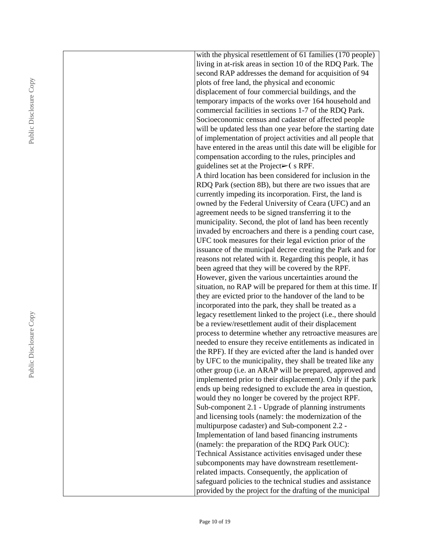| with the physical resettlement of 61 families (170 people)                                           |
|------------------------------------------------------------------------------------------------------|
| living in at-risk areas in section 10 of the RDQ Park. The                                           |
| second RAP addresses the demand for acquisition of 94                                                |
| plots of free land, the physical and economic                                                        |
| displacement of four commercial buildings, and the                                                   |
| temporary impacts of the works over 164 household and                                                |
| commercial facilities in sections 1-7 of the RDQ Park.                                               |
| Socioeconomic census and cadaster of affected people                                                 |
| will be updated less than one year before the starting date                                          |
| of implementation of project activities and all people that                                          |
| have entered in the areas until this date will be eligible for                                       |
| compensation according to the rules, principles and                                                  |
| guidelines set at the Project $\blacktriangleright$ (s RPF.                                          |
| A third location has been considered for inclusion in the                                            |
| RDQ Park (section 8B), but there are two issues that are                                             |
| currently impeding its incorporation. First, the land is                                             |
| owned by the Federal University of Ceara (UFC) and an                                                |
| agreement needs to be signed transferring it to the                                                  |
| municipality. Second, the plot of land has been recently                                             |
| invaded by encroachers and there is a pending court case,                                            |
| UFC took measures for their legal eviction prior of the                                              |
| issuance of the municipal decree creating the Park and for                                           |
| reasons not related with it. Regarding this people, it has                                           |
| been agreed that they will be covered by the RPF.                                                    |
| However, given the various uncertainties around the                                                  |
| situation, no RAP will be prepared for them at this time. If                                         |
| they are evicted prior to the handover of the land to be                                             |
| incorporated into the park, they shall be treated as a                                               |
| legacy resettlement linked to the project (i.e., there should                                        |
| be a review/resettlement audit of their displacement                                                 |
| process to determine whether any retroactive measures are                                            |
| needed to ensure they receive entitlements as indicated in                                           |
| the RPF). If they are evicted after the land is handed over                                          |
| by UFC to the municipality, they shall be treated like any                                           |
| other group (i.e. an ARAP will be prepared, approved and                                             |
| implemented prior to their displacement). Only if the park                                           |
| ends up being redesigned to exclude the area in question,                                            |
| would they no longer be covered by the project RPF.                                                  |
| Sub-component 2.1 - Upgrade of planning instruments                                                  |
| and licensing tools (namely: the modernization of the                                                |
| multipurpose cadaster) and Sub-component 2.2 -                                                       |
| Implementation of land based financing instruments<br>(namely: the preparation of the RDQ Park OUC): |
| Technical Assistance activities envisaged under these                                                |
| subcomponents may have downstream resettlement-                                                      |
| related impacts. Consequently, the application of                                                    |
| safeguard policies to the technical studies and assistance                                           |
| provided by the project for the drafting of the municipal                                            |
|                                                                                                      |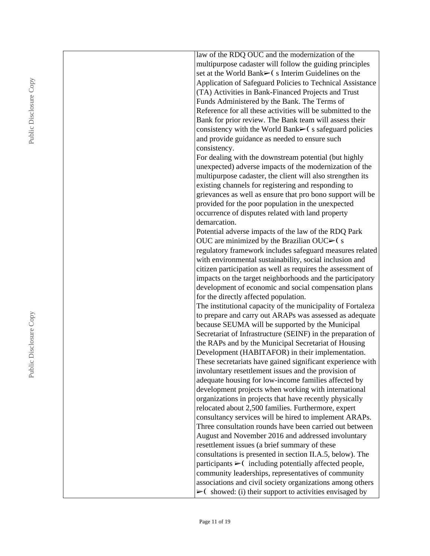| law of the RDQ OUC and the modernization of the                                                                   |
|-------------------------------------------------------------------------------------------------------------------|
| multipurpose cadaster will follow the guiding principles                                                          |
| set at the World Bank> (s Interim Guidelines on the                                                               |
| Application of Safeguard Policies to Technical Assistance                                                         |
| (TA) Activities in Bank-Financed Projects and Trust                                                               |
| Funds Administered by the Bank. The Terms of                                                                      |
| Reference for all these activities will be submitted to the                                                       |
| Bank for prior review. The Bank team will assess their                                                            |
| consistency with the World Bank $\blacktriangleright$ (s safeguard policies                                       |
|                                                                                                                   |
| and provide guidance as needed to ensure such                                                                     |
| consistency.                                                                                                      |
| For dealing with the downstream potential (but highly                                                             |
| unexpected) adverse impacts of the modernization of the                                                           |
| multipurpose cadaster, the client will also strengthen its                                                        |
| existing channels for registering and responding to                                                               |
| grievances as well as ensure that pro bono support will be                                                        |
| provided for the poor population in the unexpected                                                                |
| occurrence of disputes related with land property                                                                 |
| demarcation.                                                                                                      |
| Potential adverse impacts of the law of the RDQ Park                                                              |
| OUC are minimized by the Brazilian OUC $\blacktriangleright$ (s)                                                  |
| regulatory framework includes safeguard measures related                                                          |
| with environmental sustainability, social inclusion and                                                           |
| citizen participation as well as requires the assessment of                                                       |
| impacts on the target neighborhoods and the participatory                                                         |
| development of economic and social compensation plans                                                             |
| for the directly affected population.                                                                             |
| The institutional capacity of the municipality of Fortaleza                                                       |
| to prepare and carry out ARAPs was assessed as adequate                                                           |
| because SEUMA will be supported by the Municipal                                                                  |
| Secretariat of Infrastructure (SEINF) in the preparation of                                                       |
| the RAPs and by the Municipal Secretariat of Housing                                                              |
| Development (HABITAFOR) in their implementation.                                                                  |
| These secretariats have gained significant experience with                                                        |
| involuntary resettlement issues and the provision of                                                              |
| adequate housing for low-income families affected by<br>development projects when working with international      |
|                                                                                                                   |
| organizations in projects that have recently physically                                                           |
| relocated about 2,500 families. Furthermore, expert                                                               |
| consultancy services will be hired to implement ARAPs.<br>Three consultation rounds have been carried out between |
| August and November 2016 and addressed involuntary                                                                |
| resettlement issues (a brief summary of these                                                                     |
| consultations is presented in section II.A.5, below). The                                                         |
|                                                                                                                   |
| participants $\triangleright$ (including potentially affected people,                                             |
| community leaderships, representatives of community                                                               |
| associations and civil society organizations among others                                                         |
| $\triangleright$ (showed: (i) their support to activities envisaged by                                            |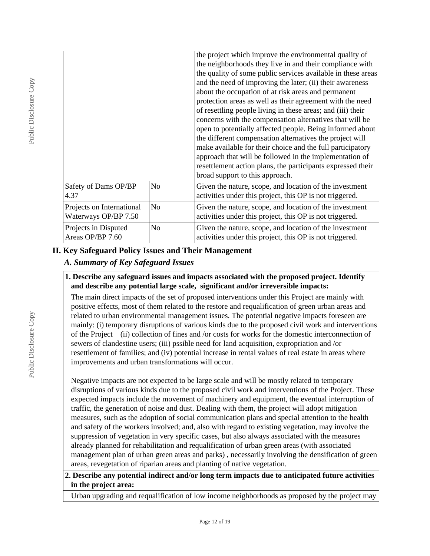|                                                   |                | the project which improve the environmental quality of<br>the neighborhoods they live in and their compliance with<br>the quality of some public services available in these areas<br>and the need of improving the later; (ii) their awareness<br>about the occupation of at risk areas and permanent<br>protection areas as well as their agreement with the need<br>of resettling people living in these areas; and (iii) their<br>concerns with the compensation alternatives that will be<br>open to potentially affected people. Being informed about<br>the different compensation alternatives the project will<br>make available for their choice and the full participatory<br>approach that will be followed in the implementation of<br>resettlement action plans, the participants expressed their<br>broad support to this approach. |
|---------------------------------------------------|----------------|----------------------------------------------------------------------------------------------------------------------------------------------------------------------------------------------------------------------------------------------------------------------------------------------------------------------------------------------------------------------------------------------------------------------------------------------------------------------------------------------------------------------------------------------------------------------------------------------------------------------------------------------------------------------------------------------------------------------------------------------------------------------------------------------------------------------------------------------------|
| Safety of Dams OP/BP<br>4.37                      | No             | Given the nature, scope, and location of the investment<br>activities under this project, this OP is not triggered.                                                                                                                                                                                                                                                                                                                                                                                                                                                                                                                                                                                                                                                                                                                                |
| Projects on International<br>Waterways OP/BP 7.50 | N <sub>o</sub> | Given the nature, scope, and location of the investment<br>activities under this project, this OP is not triggered.                                                                                                                                                                                                                                                                                                                                                                                                                                                                                                                                                                                                                                                                                                                                |
| Projects in Disputed<br>Areas OP/BP 7.60          | No             | Given the nature, scope, and location of the investment<br>activities under this project, this OP is not triggered.                                                                                                                                                                                                                                                                                                                                                                                                                                                                                                                                                                                                                                                                                                                                |

### **II. Key Safeguard Policy Issues and Their Management**

# *A. Summary of Key Safeguard Issues*

#### **1. Describe any safeguard issues and impacts associated with the proposed project. Identify and describe any potential large scale, significant and/or irreversible impacts:**

The main direct impacts of the set of proposed interventions under this Project are mainly with positive effects, most of them related to the restore and requalification of green urban areas and related to urban environmental management issues. The potential negative impacts foreseen are mainly: (i) temporary disruptions of various kinds due to the proposed civil work and interventions of the Project (ii) collection of fines and /or costs for works for the domestic interconnection of sewers of clandestine users; (iii) pssible need for land acquisition, expropriation and /or resettlement of families; and (iv) potential increase in rental values of real estate in areas where improvements and urban transformations will occur.

Negative impacts are not expected to be large scale and will be mostly related to temporary disruptions of various kinds due to the proposed civil work and interventions of the Project. These expected impacts include the movement of machinery and equipment, the eventual interruption of traffic, the generation of noise and dust. Dealing with them, the project will adopt mitigation measures, such as the adoption of social communication plans and special attention to the health and safety of the workers involved; and, also with regard to existing vegetation, may involve the suppression of vegetation in very specific cases, but also always associated with the measures already planned for rehabilitation and requalification of urban green areas (with associated management plan of urban green areas and parks) , necessarily involving the densification of green areas, revegetation of riparian areas and planting of native vegetation.

**2. Describe any potential indirect and/or long term impacts due to anticipated future activities in the project area:**

Urban upgrading and requalification of low income neighborhoods as proposed by the project may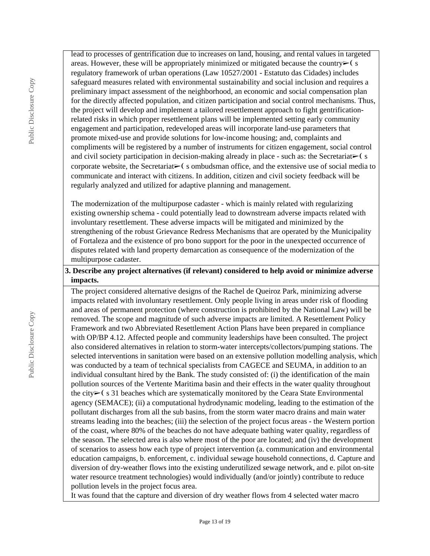lead to processes of gentrification due to increases on land, housing, and rental values in targeted areas. However, these will be appropriately minimized or mitigated because the country $\triangleright$  (s regulatory framework of urban operations (Law 10527/2001 - Estatuto das Cidades) includes safeguard measures related with environmental sustainability and social inclusion and requires a preliminary impact assessment of the neighborhood, an economic and social compensation plan for the directly affected population, and citizen participation and social control mechanisms. Thus, the project will develop and implement a tailored resettlement approach to fight gentrificationrelated risks in which proper resettlement plans will be implemented setting early community engagement and participation, redeveloped areas will incorporate land-use parameters that promote mixed-use and provide solutions for low-income housing; and, complaints and compliments will be registered by a number of instruments for citizen engagement, social control and civil society participation in decision-making already in place - such as: the Secretariat $\triangleright$  (s corporate website, the Secretariat $\triangleright$ ( s ombudsman office, and the extensive use of social media to communicate and interact with citizens. In addition, citizen and civil society feedback will be regularly analyzed and utilized for adaptive planning and management.

The modernization of the multipurpose cadaster - which is mainly related with regularizing existing ownership schema - could potentially lead to downstream adverse impacts related with involuntary resettlement. These adverse impacts will be mitigated and minimized by the strengthening of the robust Grievance Redress Mechanisms that are operated by the Municipality of Fortaleza and the existence of pro bono support for the poor in the unexpected occurrence of disputes related with land property demarcation as consequence of the modernization of the multipurpose cadaster.

# **3. Describe any project alternatives (if relevant) considered to help avoid or minimize adverse impacts.**

The project considered alternative designs of the Rachel de Queiroz Park, minimizing adverse impacts related with involuntary resettlement. Only people living in areas under risk of flooding and areas of permanent protection (where construction is prohibited by the National Law) will be removed. The scope and magnitude of such adverse impacts are limited. A Resettlement Policy Framework and two Abbreviated Resettlement Action Plans have been prepared in compliance with OP/BP 4.12. Affected people and community leaderships have been consulted. The project also considered alternatives in relation to storm-water intercepts/collectors/pumping stations. The selected interventions in sanitation were based on an extensive pollution modelling analysis, which was conducted by a team of technical specialists from CAGECE and SEUMA, in addition to an individual consultant hired by the Bank. The study consisted of: (i) the identification of the main pollution sources of the Vertente Maritima basin and their effects in the water quality throughout the city➢❨ s 31 beaches which are systematically monitored by the Ceara State Environmental agency (SEMACE); (ii) a computational hydrodynamic modeling, leading to the estimation of the pollutant discharges from all the sub basins, from the storm water macro drains and main water streams leading into the beaches; (iii) the selection of the project focus areas - the Western portion of the coast, where 80% of the beaches do not have adequate bathing water quality, regardless of the season. The selected area is also where most of the poor are located; and (iv) the development of scenarios to assess how each type of project intervention (a. communication and environmental education campaigns, b. enforcement, c. individual sewage household connections, d. Capture and diversion of dry-weather flows into the existing underutilized sewage network, and e. pilot on-site water resource treatment technologies) would individually (and/or jointly) contribute to reduce pollution levels in the project focus area.

It was found that the capture and diversion of dry weather flows from 4 selected water macro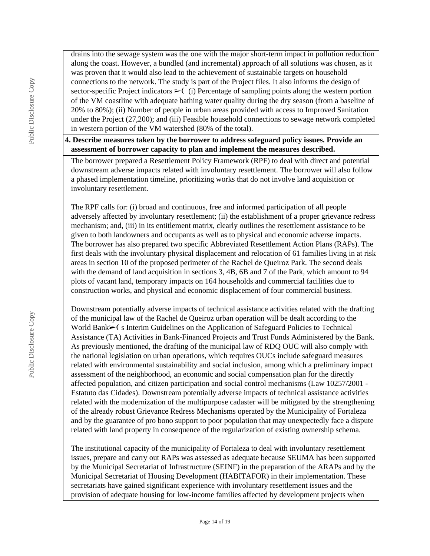drains into the sewage system was the one with the major short-term impact in pollution reduction along the coast. However, a bundled (and incremental) approach of all solutions was chosen, as it was proven that it would also lead to the achievement of sustainable targets on household connections to the network. The study is part of the Project files. It also informs the design of sector-specific Project indicators  $\triangleright$  (i) Percentage of sampling points along the western portion of the VM coastline with adequate bathing water quality during the dry season (from a baseline of 20% to 80%); (ii) Number of people in urban areas provided with access to Improved Sanitation under the Project (27,200); and (iii) Feasible household connections to sewage network completed in western portion of the VM watershed (80% of the total).

## **4. Describe measures taken by the borrower to address safeguard policy issues. Provide an assessment of borrower capacity to plan and implement the measures described.**

The borrower prepared a Resettlement Policy Framework (RPF) to deal with direct and potential downstream adverse impacts related with involuntary resettlement. The borrower will also follow a phased implementation timeline, prioritizing works that do not involve land acquisition or involuntary resettlement.

The RPF calls for: (i) broad and continuous, free and informed participation of all people adversely affected by involuntary resettlement; (ii) the establishment of a proper grievance redress mechanism; and, (iii) in its entitlement matrix, clearly outlines the resettlement assistance to be given to both landowners and occupants as well as to physical and economic adverse impacts. The borrower has also prepared two specific Abbreviated Resettlement Action Plans (RAPs). The first deals with the involuntary physical displacement and relocation of 61 families living in at risk areas in section 10 of the proposed perimeter of the Rachel de Queiroz Park. The second deals with the demand of land acquisition in sections 3, 4B, 6B and 7 of the Park, which amount to 94 plots of vacant land, temporary impacts on 164 households and commercial facilities due to construction works, and physical and economic displacement of four commercial business.

Downstream potentially adverse impacts of technical assistance activities related with the drafting of the municipal law of the Rachel de Queiroz urban operation will be dealt according to the World Bank► (s Interim Guidelines on the Application of Safeguard Policies to Technical Assistance (TA) Activities in Bank-Financed Projects and Trust Funds Administered by the Bank. As previously mentioned, the drafting of the municipal law of RDQ OUC will also comply with the national legislation on urban operations, which requires OUCs include safeguard measures related with environmental sustainability and social inclusion, among which a preliminary impact assessment of the neighborhood, an economic and social compensation plan for the directly affected population, and citizen participation and social control mechanisms (Law 10257/2001 - Estatuto das Cidades). Downstream potentially adverse impacts of technical assistance activities related with the modernization of the multipurpose cadaster will be mitigated by the strengthening of the already robust Grievance Redress Mechanisms operated by the Municipality of Fortaleza and by the guarantee of pro bono support to poor population that may unexpectedly face a dispute related with land property in consequence of the regularization of existing ownership schema.

The institutional capacity of the municipality of Fortaleza to deal with involuntary resettlement issues, prepare and carry out RAPs was assessed as adequate because SEUMA has been supported by the Municipal Secretariat of Infrastructure (SEINF) in the preparation of the ARAPs and by the Municipal Secretariat of Housing Development (HABITAFOR) in their implementation. These secretariats have gained significant experience with involuntary resettlement issues and the provision of adequate housing for low-income families affected by development projects when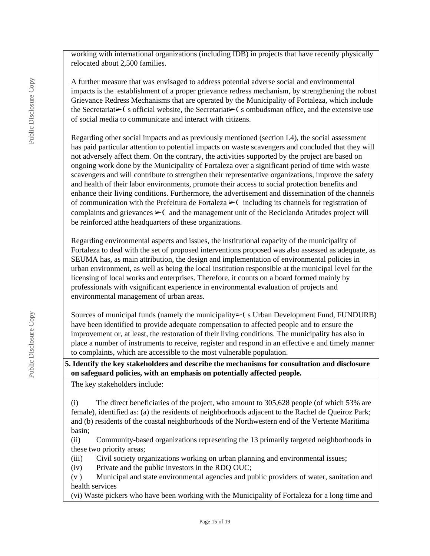working with international organizations (including IDB) in projects that have recently physically relocated about 2,500 families.

A further measure that was envisaged to address potential adverse social and environmental impacts is the establishment of a proper grievance redress mechanism, by strengthening the robust Grievance Redress Mechanisms that are operated by the Municipality of Fortaleza, which include the Secretariat► (s official website, the Secretariat► (s ombudsman office, and the extensive use of social media to communicate and interact with citizens.

Regarding other social impacts and as previously mentioned (section I.4), the social assessment has paid particular attention to potential impacts on waste scavengers and concluded that they will not adversely affect them. On the contrary, the activities supported by the project are based on ongoing work done by the Municipality of Fortaleza over a significant period of time with waste scavengers and will contribute to strengthen their representative organizations, improve the safety and health of their labor environments, promote their access to social protection benefits and enhance their living conditions. Furthermore, the advertisement and dissemination of the channels of communication with the Prefeitura de Fortaleza  $\blacktriangleright$  including its channels for registration of complaints and grievances  $\triangleright$  (and the management unit of the Reciclando Atitudes project will be reinforced atthe headquarters of these organizations.

Regarding environmental aspects and issues, the institutional capacity of the municipality of Fortaleza to deal with the set of proposed interventions proposed was also assessed as adequate, as SEUMA has, as main attribution, the design and implementation of environmental policies in urban environment, as well as being the local institution responsible at the municipal level for the licensing of local works and enterprises. Therefore, it counts on a board formed mainly by professionals with vsignificant experience in environmental evaluation of projects and environmental management of urban areas.

Sources of municipal funds (namely the municipality $\rightharpoonup$  (s Urban Development Fund, FUNDURB) have been identified to provide adequate compensation to affected people and to ensure the improvement or, at least, the restoration of their living conditions. The municipality has also in place a number of instruments to receive, register and respond in an effective e and timely manner to complaints, which are accessible to the most vulnerable population.

#### **5. Identify the key stakeholders and describe the mechanisms for consultation and disclosure on safeguard policies, with an emphasis on potentially affected people.**

The key stakeholders include:

(i) The direct beneficiaries of the project, who amount to 305,628 people (of which 53% are female), identified as: (a) the residents of neighborhoods adjacent to the Rachel de Queiroz Park; and (b) residents of the coastal neighborhoods of the Northwestern end of the Vertente Maritima basin;

(ii) Community-based organizations representing the 13 primarily targeted neighborhoods in these two priority areas;

- (iii) Civil society organizations working on urban planning and environmental issues;
- (iv) Private and the public investors in the RDQ OUC;

(v ) Municipal and state environmental agencies and public providers of water, sanitation and health services

(vi) Waste pickers who have been working with the Municipality of Fortaleza for a long time and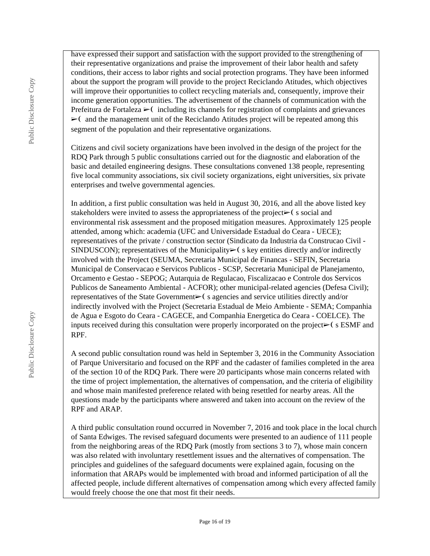have expressed their support and satisfaction with the support provided to the strengthening of their representative organizations and praise the improvement of their labor health and safety conditions, their access to labor rights and social protection programs. They have been informed about the support the program will provide to the project Reciclando Atitudes, which objectives will improve their opportunities to collect recycling materials and, consequently, improve their income generation opportunities. The advertisement of the channels of communication with the Prefeitura de Fortaleza  $\triangleright$  (including its channels for registration of complaints and grievances  $\triangleright$  ( and the management unit of the Reciclando Atitudes project will be repeated among this segment of the population and their representative organizations.

Citizens and civil society organizations have been involved in the design of the project for the RDQ Park through 5 public consultations carried out for the diagnostic and elaboration of the basic and detailed engineering designs. These consultations convened 138 people, representing five local community associations, six civil society organizations, eight universities, six private enterprises and twelve governmental agencies.

In addition, a first public consultation was held in August 30, 2016, and all the above listed key stakeholders were invited to assess the appropriateness of the project $\triangleright$  (s social and environmental risk assessment and the proposed mitigation measures. Approximately 125 people attended, among which: academia (UFC and Universidade Estadual do Ceara - UECE); representatives of the private / construction sector (Sindicato da Industria da Construcao Civil - SINDUSCON); representatives of the Municipality $\triangleright$  (s key entities directly and/or indirectly involved with the Project (SEUMA, Secretaria Municipal de Financas - SEFIN, Secretaria Municipal de Conservacao e Servicos Publicos - SCSP, Secretaria Municipal de Planejamento, Orcamento e Gestao - SEPOG; Autarquia de Regulacao, Fiscalizacao e Controle dos Servicos Publicos de Saneamento Ambiental - ACFOR); other municipal-related agencies (Defesa Civil); representatives of the State Government➢❨ s agencies and service utilities directly and/or indirectly involved with the Project (Secretaria Estadual de Meio Ambiente - SEMA; Companhia de Agua e Esgoto do Ceara - CAGECE, and Companhia Energetica do Ceara - COELCE). The inputs received during this consultation were properly incorporated on the project $\triangleright$  (s ESMF and RPF.

A second public consultation round was held in September 3, 2016 in the Community Association of Parque Universitario and focused on the RPF and the cadaster of families completed in the area of the section 10 of the RDQ Park. There were 20 participants whose main concerns related with the time of project implementation, the alternatives of compensation, and the criteria of eligibility and whose main manifested preference related with being resettled for nearby areas. All the questions made by the participants where answered and taken into account on the review of the RPF and ARAP.

A third public consultation round occurred in November 7, 2016 and took place in the local church of Santa Edwiges. The revised safeguard documents were presented to an audience of 111 people from the neighboring areas of the RDQ Park (mostly from sections 3 to 7), whose main concern was also related with involuntary resettlement issues and the alternatives of compensation. The principles and guidelines of the safeguard documents were explained again, focusing on the information that ARAPs would be implemented with broad and informed participation of all the affected people, include different alternatives of compensation among which every affected family would freely choose the one that most fit their needs.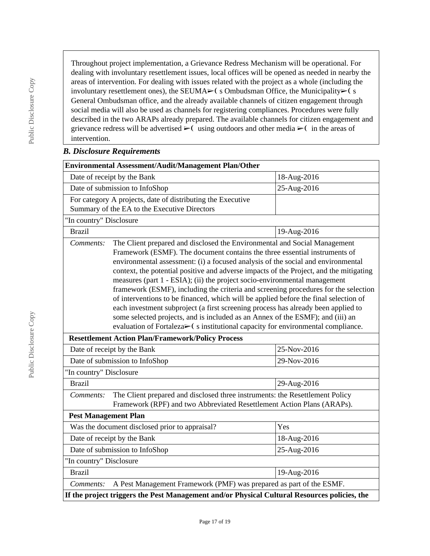Throughout project implementation, a Grievance Redress Mechanism will be operational. For dealing with involuntary resettlement issues, local offices will be opened as needed in nearby the areas of intervention. For dealing with issues related with the project as a whole (including the involuntary resettlement ones), the SEUMA $\blacktriangleright$ ( s Ombudsman Office, the Municipality $\blacktriangleright$ ( s General Ombudsman office, and the already available channels of citizen engagement through social media will also be used as channels for registering compliances. Procedures were fully described in the two ARAPs already prepared. The available channels for citizen engagement and grievance redress will be advertised  $\geq$  using outdoors and other media  $\geq$  in the areas of intervention.

#### *B. Disclosure Requirements*

| Environmental Assessment/Audit/Management Plan/Other                                                                                                                                                                                                                                                                                                                                                                                                                                                                                                                                                                                                                                                                                                                                                                                                                    |             |  |  |  |  |  |
|-------------------------------------------------------------------------------------------------------------------------------------------------------------------------------------------------------------------------------------------------------------------------------------------------------------------------------------------------------------------------------------------------------------------------------------------------------------------------------------------------------------------------------------------------------------------------------------------------------------------------------------------------------------------------------------------------------------------------------------------------------------------------------------------------------------------------------------------------------------------------|-------------|--|--|--|--|--|
| Date of receipt by the Bank                                                                                                                                                                                                                                                                                                                                                                                                                                                                                                                                                                                                                                                                                                                                                                                                                                             | 18-Aug-2016 |  |  |  |  |  |
| Date of submission to InfoShop                                                                                                                                                                                                                                                                                                                                                                                                                                                                                                                                                                                                                                                                                                                                                                                                                                          | 25-Aug-2016 |  |  |  |  |  |
| For category A projects, date of distributing the Executive<br>Summary of the EA to the Executive Directors                                                                                                                                                                                                                                                                                                                                                                                                                                                                                                                                                                                                                                                                                                                                                             |             |  |  |  |  |  |
| "In country" Disclosure                                                                                                                                                                                                                                                                                                                                                                                                                                                                                                                                                                                                                                                                                                                                                                                                                                                 |             |  |  |  |  |  |
| <b>Brazil</b>                                                                                                                                                                                                                                                                                                                                                                                                                                                                                                                                                                                                                                                                                                                                                                                                                                                           | 19-Aug-2016 |  |  |  |  |  |
| The Client prepared and disclosed the Environmental and Social Management<br>Comments:<br>Framework (ESMF). The document contains the three essential instruments of<br>environmental assessment: (i) a focused analysis of the social and environmental<br>context, the potential positive and adverse impacts of the Project, and the mitigating<br>measures (part 1 - ESIA); (ii) the project socio-environmental management<br>framework (ESMF), including the criteria and screening procedures for the selection<br>of interventions to be financed, which will be applied before the final selection of<br>each investment subproject (a first screening process has already been applied to<br>some selected projects, and is included as an Annex of the ESMF); and (iii) an<br>evaluation of Fortaleza>(sinstitutional capacity for environmental compliance. |             |  |  |  |  |  |
| <b>Resettlement Action Plan/Framework/Policy Process</b>                                                                                                                                                                                                                                                                                                                                                                                                                                                                                                                                                                                                                                                                                                                                                                                                                |             |  |  |  |  |  |
| 25-Nov-2016<br>Date of receipt by the Bank                                                                                                                                                                                                                                                                                                                                                                                                                                                                                                                                                                                                                                                                                                                                                                                                                              |             |  |  |  |  |  |
| Date of submission to InfoShop<br>29-Nov-2016                                                                                                                                                                                                                                                                                                                                                                                                                                                                                                                                                                                                                                                                                                                                                                                                                           |             |  |  |  |  |  |
| "In country" Disclosure                                                                                                                                                                                                                                                                                                                                                                                                                                                                                                                                                                                                                                                                                                                                                                                                                                                 |             |  |  |  |  |  |
| <b>Brazil</b>                                                                                                                                                                                                                                                                                                                                                                                                                                                                                                                                                                                                                                                                                                                                                                                                                                                           | 29-Aug-2016 |  |  |  |  |  |
| The Client prepared and disclosed three instruments: the Resettlement Policy<br>Comments:<br>Framework (RPF) and two Abbreviated Resettlement Action Plans (ARAPs).                                                                                                                                                                                                                                                                                                                                                                                                                                                                                                                                                                                                                                                                                                     |             |  |  |  |  |  |
| <b>Pest Management Plan</b>                                                                                                                                                                                                                                                                                                                                                                                                                                                                                                                                                                                                                                                                                                                                                                                                                                             |             |  |  |  |  |  |
| Was the document disclosed prior to appraisal?<br>Yes                                                                                                                                                                                                                                                                                                                                                                                                                                                                                                                                                                                                                                                                                                                                                                                                                   |             |  |  |  |  |  |
| Date of receipt by the Bank                                                                                                                                                                                                                                                                                                                                                                                                                                                                                                                                                                                                                                                                                                                                                                                                                                             | 18-Aug-2016 |  |  |  |  |  |
| Date of submission to InfoShop<br>25-Aug-2016                                                                                                                                                                                                                                                                                                                                                                                                                                                                                                                                                                                                                                                                                                                                                                                                                           |             |  |  |  |  |  |
| "In country" Disclosure                                                                                                                                                                                                                                                                                                                                                                                                                                                                                                                                                                                                                                                                                                                                                                                                                                                 |             |  |  |  |  |  |
| <b>Brazil</b><br>19-Aug-2016                                                                                                                                                                                                                                                                                                                                                                                                                                                                                                                                                                                                                                                                                                                                                                                                                                            |             |  |  |  |  |  |
| A Pest Management Framework (PMF) was prepared as part of the ESMF.<br>Comments:                                                                                                                                                                                                                                                                                                                                                                                                                                                                                                                                                                                                                                                                                                                                                                                        |             |  |  |  |  |  |
| If the project triggers the Pest Management and/or Physical Cultural Resources policies, the                                                                                                                                                                                                                                                                                                                                                                                                                                                                                                                                                                                                                                                                                                                                                                            |             |  |  |  |  |  |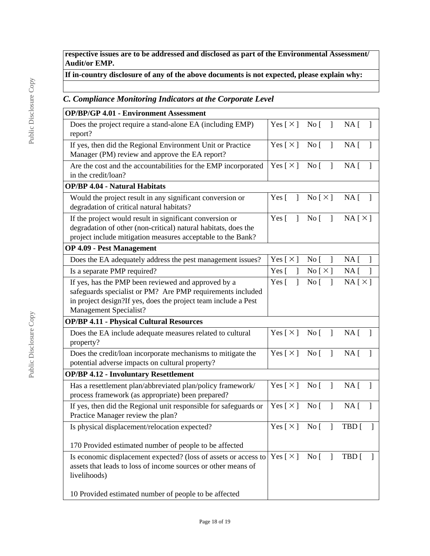**respective issues are to be addressed and disclosed as part of the Environmental Assessment/ Audit/or EMP.**

# **If in-country disclosure of any of the above documents is not expected, please explain why:**

# *C. Compliance Monitoring Indicators at the Corporate Level*

| <b>OP/BP/GP 4.01 - Environment Assessment</b>                                                                                                                                                                 |                                          |                                     |                                     |
|---------------------------------------------------------------------------------------------------------------------------------------------------------------------------------------------------------------|------------------------------------------|-------------------------------------|-------------------------------------|
| Does the project require a stand-alone EA (including EMP)<br>report?                                                                                                                                          |                                          | Yes [×] No [ ]                      | $NA$ [ ]                            |
| If yes, then did the Regional Environment Unit or Practice<br>Manager (PM) review and approve the EA report?                                                                                                  | Yes $\lceil \times \rceil$ No $\lceil$ 1 |                                     | $NA$ [ ]                            |
| Are the cost and the accountabilities for the EMP incorporated<br>in the credit/loan?                                                                                                                         | Yes $\lceil \times \rceil$ No $\lceil$   | $\Box$                              | NA <sub>1</sub><br>$\mathbf{1}$     |
| <b>OP/BP 4.04 - Natural Habitats</b>                                                                                                                                                                          |                                          |                                     |                                     |
| Would the project result in any significant conversion or<br>degradation of critical natural habitats?                                                                                                        | Yes $\lceil$<br>$\mathbf{I}$             | $\text{No} \lceil \times \rceil$    | $NA$ [ ]                            |
| If the project would result in significant conversion or<br>degradation of other (non-critical) natural habitats, does the<br>project include mitigation measures acceptable to the Bank?                     | Yes $\lceil$<br>$\mathbf{I}$             | $\overline{N}$ o [ ]                | $NA [ \times ]$                     |
| <b>OP 4.09 - Pest Management</b>                                                                                                                                                                              |                                          |                                     |                                     |
| Does the EA adequately address the pest management issues?                                                                                                                                                    | Yes [ $\times$ ]                         | No <sub>1</sub><br>1                | NA <sub>1</sub>                     |
| Is a separate PMP required?                                                                                                                                                                                   | Yes $\lceil$<br>$\mathbf{1}$             | $\text{No} \, [\, \times \, ]$      | $NA$ [<br>$\mathbf{1}$              |
| If yes, has the PMP been reviewed and approved by a<br>safeguards specialist or PM? Are PMP requirements included<br>in project design?If yes, does the project team include a Pest<br>Management Specialist? | Yes $\lceil$<br>1                        | No <sub>[</sub> ]<br>$\overline{1}$ | NA[X]                               |
| <b>OP/BP 4.11 - Physical Cultural Resources</b>                                                                                                                                                               |                                          |                                     |                                     |
| Does the EA include adequate measures related to cultural<br>property?                                                                                                                                        | Yes $[\times]$ No [                      | $\overline{1}$                      | NA <sub>1</sub><br>$\mathbf{1}$     |
| Does the credit/loan incorporate mechanisms to mitigate the<br>potential adverse impacts on cultural property?                                                                                                | Yes $[\times]$ No [                      | $\overline{1}$                      | NA <sub>1</sub><br>1                |
| <b>OP/BP 4.12 - Involuntary Resettlement</b>                                                                                                                                                                  |                                          |                                     |                                     |
| Has a resettlement plan/abbreviated plan/policy framework/<br>process framework (as appropriate) been prepared?                                                                                               | Yes [×] No [ ]                           |                                     | $NA$ [ ]                            |
| If yes, then did the Regional unit responsible for safeguards or<br>Practice Manager review the plan?                                                                                                         | Yes $\lceil \times \rceil$ No $\lceil$   | $\overline{1}$                      | NA <sub>1</sub><br>$\mathbf{1}$     |
| Is physical displacement/relocation expected?                                                                                                                                                                 |                                          |                                     | Yes $[\times]$ No $[\ ]$ TBD $[\ ]$ |
| 170 Provided estimated number of people to be affected                                                                                                                                                        |                                          |                                     |                                     |
| Is economic displacement expected? (loss of assets or access to<br>assets that leads to loss of income sources or other means of<br>livelihoods)                                                              | Yes $[\times]$ No $[\ ]$                 |                                     | $TBD$ [                             |
| 10 Provided estimated number of people to be affected                                                                                                                                                         |                                          |                                     |                                     |